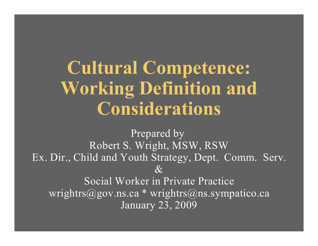# **Cultural Competence: Working Definition and Considerations**

Prepared by Robert S. Wright, MSW, RSW Ex. Dir., Child and Youth Strategy, Dept. Comm. Serv.  $\mathcal{X}$ Social Worker in Private Practice wrightrs@gov.ns.ca \* wrightrs@ns.sympatico.ca January 23, 2009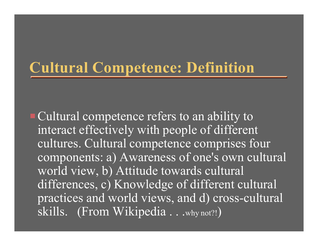#### **Cultural Competence: Definition**

**Example 1 Cultural competence refers to an ability to** interact effectively with people of different cultures. Cultural competence comprises four components: a) Awareness of one's own cultural world view, b) Attitude towards cultural differences, c) Knowledge of different cultural practices and world views, and d) cross-cultural skills. (From Wikipedia . . .why not?!)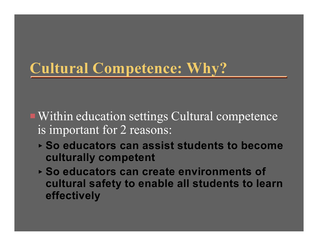### **Cultural Competence: Why?**

- Within education settings Cultural competence is important for 2 reasons:
	- < **So educators can assist students to become culturally competent**
	- < **So educators can create environments of cultural safety to enable all students to learn effectively**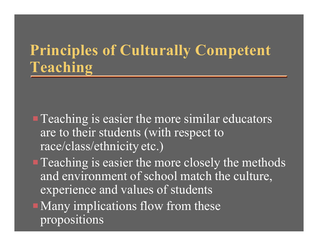### **Principles of Culturally Competent Teaching**

- $\blacksquare$  Teaching is easier the more similar educators are to their students (with respect to race/class/ethnicity etc.)
- $\blacksquare$  Teaching is easier the more closely the methods and environment of school match the culture, experience and values of students
- $\blacksquare$  Many implications flow from these propositions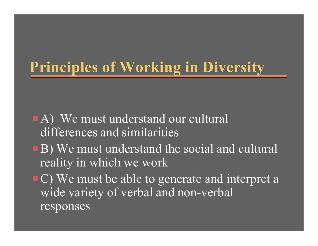### **Principles of Working in Diversity**

- $\blacksquare$  A) We must understand our cultural differences and similarities
- **B**) We must understand the social and cultural reality in which we work
- C) We must be able to generate and interpret a wide variety of verbal and non-verbal responses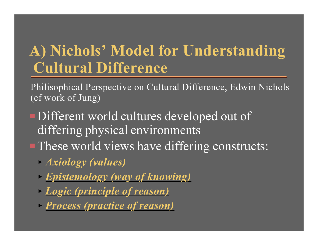### **A) Nichols' Model for Understanding Cultural Difference**

Philisophical Perspective on Cultural Difference, Edwin Nichols (cf work of Jung)

- Different world cultures developed out of differing physical environments **PThese world views have differing constructs:** 
	- < *Axiology (values)*
	- < *Epistemology (way of knowing)*
	- < *Logic (principle of reason)*
	- < *Process (practice of reason)*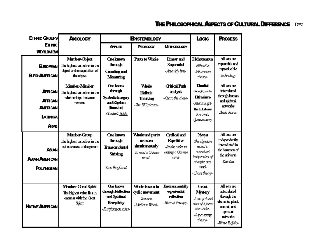#### **THE PHILOSOPHICAL ASPECTS OF CULTURAL DIFFERENCE DEVI**

| <b>ETHNC GROUPS</b>                                                                                                               | <b>AXIOLOGY</b>                                                                                                                                                                    | <b>EPISTEMOLOGY</b>                                                                                                                                                                     |                                                                                           |                                                                                                                     | Locic                                                                                                                                                                             | <b>PROCESS</b>                                                                                                                                                 |
|-----------------------------------------------------------------------------------------------------------------------------------|------------------------------------------------------------------------------------------------------------------------------------------------------------------------------------|-----------------------------------------------------------------------------------------------------------------------------------------------------------------------------------------|-------------------------------------------------------------------------------------------|---------------------------------------------------------------------------------------------------------------------|-----------------------------------------------------------------------------------------------------------------------------------------------------------------------------------|----------------------------------------------------------------------------------------------------------------------------------------------------------------|
| <b>ETHNC</b><br><b>WORLDVIEW</b>                                                                                                  |                                                                                                                                                                                    | <b>APPLIED</b>                                                                                                                                                                          | <b>PEDAGOGY</b>                                                                           | <b>METHODOLOGY</b>                                                                                                  |                                                                                                                                                                                   |                                                                                                                                                                |
| <b>EUROPEAN</b><br><b>EURO-AMERICAN</b><br><b>AFRICAN</b><br><b>AFRICAN</b><br><b>AMERICAN</b><br><b>LATINO/A</b><br><b>A</b> RAB | Manber-Chject<br>The highest value lies in the<br>object or the acquisition of<br>the object<br>Manber-Manber<br>The highest value lies in the<br>relationships between<br>persons | <b>Cneknows</b><br><b>through</b><br><b>Counting and</b><br><b>Measuring</b><br><b>One lanous</b><br>through<br><b>Synbolic Imagery</b><br>and Rhythm<br>(function)<br>-Claciwell Eink- | Parts to Whole<br><b>Whole</b><br><b>Holistic</b><br><b>Thinking</b><br>-The BIG picture- | <b>Linear and</b><br><b>Sequential</b><br>-Assembly line-<br><b>Critical Path</b><br>analysis<br>-Cit to the chase- | Dichotomous<br>$Either$ $G$<br>-Newtonian<br>theory-<br><b>Diunital</b><br>Union of appoints<br><b>Difrasismo</b><br>-Atecthaght-<br>The In Between<br>Ibn Arbi<br>-Quotumtheory- | All sets are<br>repeatable and<br>reproducible<br>-Technology-<br>All sets are<br>interrelated<br>through human<br>and spiritual<br>networks<br>-Black church- |
| ASIAN<br><b>ASIAN AMERICAN</b><br><b>POLYNESIAN</b>                                                                               | Member-Group<br>The highest value lies in the<br>cohesiveness of the group                                                                                                         | <b>Cneknows</b><br><b>through</b><br><b>Transcendental</b><br><b>Striving</b><br>-Tree the forest-                                                                                      | <b>Whole and parts</b><br>are seen<br>simultaneously<br>-To read a Chinese<br>word        | <b>Cydical and</b><br><b>Repetitive</b><br>-Stroke order in<br>writing a Chinese<br>word-                           | Nyaya<br>-The objective<br>world is<br>conceived<br>independent of<br>thought and<br>mind<br>-Chaostheory-                                                                        | All sets are<br>independently<br>interrelated in<br>the hammary of<br>the universe<br>-Keiretsst                                                               |
| <b>NATIVE AMERICAN</b>                                                                                                            | <b>Member-Great Spirit</b><br>The highest value lies in<br>oneness with the Great<br>Spirit                                                                                        | <b>One knows</b><br>through Reflection<br>and Spiritual<br><b>Receptivity</b><br>-Punification rites-                                                                                   | <b>Whole is seen in</b><br>cyclic movement<br>-Seasons-<br>-Medicine Wheel-               | <b>Environmentally</b><br>experiential<br>reflection<br>-Rites of Passage-                                          | <b>Great</b><br><b>Mystery</b><br>-Aset of 4 and<br>aset of 3 form<br>the whole-<br>-Super string<br>theory-                                                                      | All sets are<br>interrelated<br>through the<br>elements, plant,<br>animal, and<br>spintual<br>networks<br>-White Biffalo-                                      |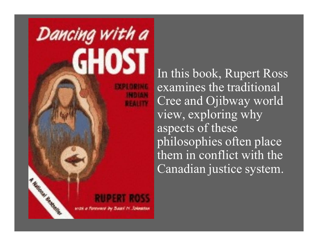

In this book, Rupert Ross examines the traditional Cree and Ojibway world view, exploring why aspects of these philosophies often place them in conflict with the Canadian justice system.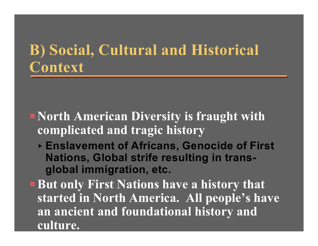#### **B) Social, Cultural and Historical Context**

- **P**North American Diversity is fraught with **complicated and tragic history**
	- < **Enslavement of Africans, Genocide of First Nations, Global strife resulting in transglobal immigration, etc.**
- **PRUT ONLY FIRST Nations have a history that started in North America. All people's have an ancient and foundational history and culture.**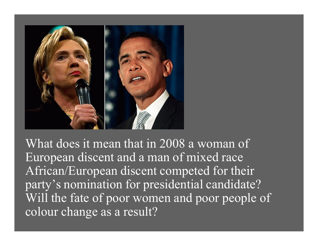

What does it mean that in 2008 a woman of European discent and a man of mixed race African/European discent competed for their party's nomination for presidential candidate? Will the fate of poor women and poor people of colour change as a result?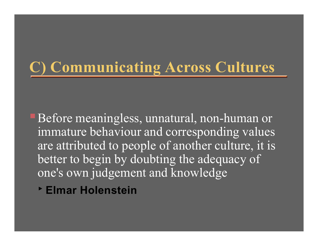## **C) Communicating Across Cultures**

**Before meaningless, unnatural, non-human or** immature behaviour and corresponding values are attributed to people of another culture, it is better to begin by doubting the adequacy of one's own judgement and knowledge

< **Elmar Holenstein**